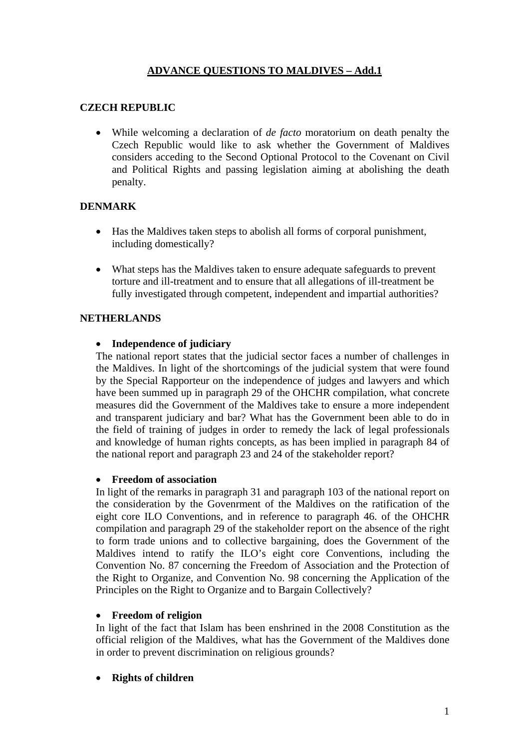# **ADVANCE QUESTIONS TO MALDIVES – Add.1**

## **CZECH REPUBLIC**

• While welcoming a declaration of *de facto* moratorium on death penalty the Czech Republic would like to ask whether the Government of Maldives considers acceding to the Second Optional Protocol to the Covenant on Civil and Political Rights and passing legislation aiming at abolishing the death penalty.

## **DENMARK**

- Has the Maldives taken steps to abolish all forms of corporal punishment, including domestically?
- What steps has the Maldives taken to ensure adequate safeguards to prevent torture and ill-treatment and to ensure that all allegations of ill-treatment be fully investigated through competent, independent and impartial authorities?

### **NETHERLANDS**

### • **Independence of judiciary**

The national report states that the judicial sector faces a number of challenges in the Maldives. In light of the shortcomings of the judicial system that were found by the Special Rapporteur on the independence of judges and lawyers and which have been summed up in paragraph 29 of the OHCHR compilation, what concrete measures did the Government of the Maldives take to ensure a more independent and transparent judiciary and bar? What has the Government been able to do in the field of training of judges in order to remedy the lack of legal professionals and knowledge of human rights concepts, as has been implied in paragraph 84 of the national report and paragraph 23 and 24 of the stakeholder report?

#### • **Freedom of association**

In light of the remarks in paragraph 31 and paragraph 103 of the national report on the consideration by the Govenrment of the Maldives on the ratification of the eight core ILO Conventions, and in reference to paragraph 46. of the OHCHR compilation and paragraph 29 of the stakeholder report on the absence of the right to form trade unions and to collective bargaining, does the Government of the Maldives intend to ratify the ILO's eight core Conventions, including the Convention No. 87 concerning the Freedom of Association and the Protection of the Right to Organize, and Convention No. 98 concerning the Application of the Principles on the Right to Organize and to Bargain Collectively?

#### • **Freedom of religion**

In light of the fact that Islam has been enshrined in the 2008 Constitution as the official religion of the Maldives, what has the Government of the Maldives done in order to prevent discrimination on religious grounds?

• **Rights of children**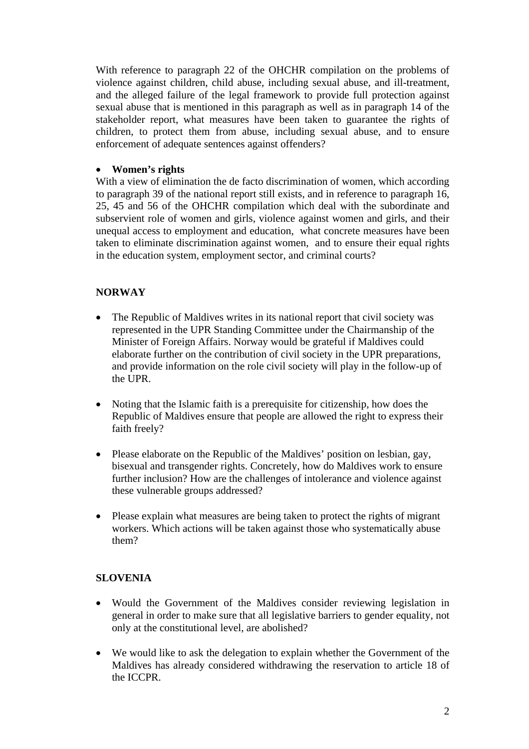With reference to paragraph 22 of the OHCHR compilation on the problems of violence against children, child abuse, including sexual abuse, and ill-treatment, and the alleged failure of the legal framework to provide full protection against sexual abuse that is mentioned in this paragraph as well as in paragraph 14 of the stakeholder report, what measures have been taken to guarantee the rights of children, to protect them from abuse, including sexual abuse, and to ensure enforcement of adequate sentences against offenders?

## • **Women's rights**

With a view of elimination the de facto discrimination of women, which according to paragraph 39 of the national report still exists, and in reference to paragraph 16, 25, 45 and 56 of the OHCHR compilation which deal with the subordinate and subservient role of women and girls, violence against women and girls, and their unequal access to employment and education, what concrete measures have been taken to eliminate discrimination against women, and to ensure their equal rights in the education system, employment sector, and criminal courts?

## **NORWAY**

- The Republic of Maldives writes in its national report that civil society was represented in the UPR Standing Committee under the Chairmanship of the Minister of Foreign Affairs. Norway would be grateful if Maldives could elaborate further on the contribution of civil society in the UPR preparations, and provide information on the role civil society will play in the follow-up of the UPR.
- Noting that the Islamic faith is a prerequisite for citizenship, how does the Republic of Maldives ensure that people are allowed the right to express their faith freely?
- Please elaborate on the Republic of the Maldives' position on lesbian, gay, bisexual and transgender rights. Concretely, how do Maldives work to ensure further inclusion? How are the challenges of intolerance and violence against these vulnerable groups addressed?
- Please explain what measures are being taken to protect the rights of migrant workers. Which actions will be taken against those who systematically abuse them?

## **SLOVENIA**

- Would the Government of the Maldives consider reviewing legislation in general in order to make sure that all legislative barriers to gender equality, not only at the constitutional level, are abolished?
- We would like to ask the delegation to explain whether the Government of the Maldives has already considered withdrawing the reservation to article 18 of the ICCPR.